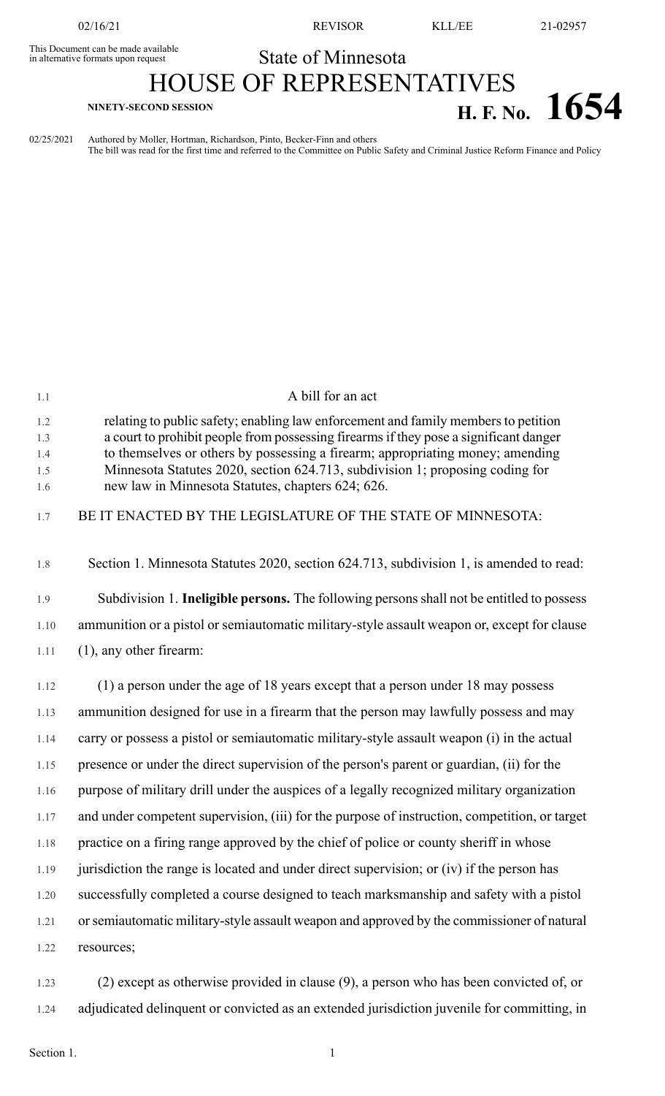02/16/21 REVISOR KLL/EE 21-02957

## This Document can be made available<br>in alternative formats upon request **State of Minnesota**

# HOUSE OF REPRESENTATIVES **H. F. No.**  $1654$

02/25/2021 Authored by Moller, Hortman, Richardson, Pinto, Becker-Finn and others The bill was read for the first time and referred to the Committee on Public Safety and Criminal Justice Reform Finance and Policy

| 1.1                      | A bill for an act                                                                                                                                                                                                                                                                                                                              |
|--------------------------|------------------------------------------------------------------------------------------------------------------------------------------------------------------------------------------------------------------------------------------------------------------------------------------------------------------------------------------------|
| 1.2<br>1.3<br>1.4<br>1.5 | relating to public safety; enabling law enforcement and family members to petition<br>a court to prohibit people from possessing firearms if they pose a significant danger<br>to themselves or others by possessing a firearm; appropriating money; amending<br>Minnesota Statutes 2020, section 624.713, subdivision 1; proposing coding for |
| 1.6                      | new law in Minnesota Statutes, chapters 624; 626.                                                                                                                                                                                                                                                                                              |
| 1.7                      | BE IT ENACTED BY THE LEGISLATURE OF THE STATE OF MINNESOTA:                                                                                                                                                                                                                                                                                    |
| 1.8                      | Section 1. Minnesota Statutes 2020, section 624.713, subdivision 1, is amended to read:                                                                                                                                                                                                                                                        |
| 1.9                      | Subdivision 1. Ineligible persons. The following persons shall not be entitled to possess                                                                                                                                                                                                                                                      |
| 1.10                     | ammunition or a pistol or semiautomatic military-style assault weapon or, except for clause                                                                                                                                                                                                                                                    |
| 1.11                     | $(1)$ , any other firearm:                                                                                                                                                                                                                                                                                                                     |
| 1.12                     | (1) a person under the age of 18 years except that a person under 18 may possess                                                                                                                                                                                                                                                               |
| 1.13                     | ammunition designed for use in a firearm that the person may lawfully possess and may                                                                                                                                                                                                                                                          |
| 1.14                     | carry or possess a pistol or semiautomatic military-style assault weapon (i) in the actual                                                                                                                                                                                                                                                     |
| 1.15                     | presence or under the direct supervision of the person's parent or guardian, (ii) for the                                                                                                                                                                                                                                                      |
| 1.16                     | purpose of military drill under the auspices of a legally recognized military organization                                                                                                                                                                                                                                                     |
| 1.17                     | and under competent supervision, (iii) for the purpose of instruction, competition, or target                                                                                                                                                                                                                                                  |
| 1.18                     | practice on a firing range approved by the chief of police or county sheriff in whose                                                                                                                                                                                                                                                          |
| 1.19                     | jurisdiction the range is located and under direct supervision; or (iv) if the person has                                                                                                                                                                                                                                                      |
| 1.20                     | successfully completed a course designed to teach marksmanship and safety with a pistol                                                                                                                                                                                                                                                        |
| 1.21                     | or semiautomatic military-style assault weapon and approved by the commissioner of natural                                                                                                                                                                                                                                                     |
| 1.22                     | resources;                                                                                                                                                                                                                                                                                                                                     |
|                          | $\alpha$ expect on the writer nuclear deal in classes $\alpha$ a nonce who has been convicted of                                                                                                                                                                                                                                               |

1.23 (2) except as otherwise provided in clause (9), a person who has been convicted of, or 1.24 adjudicated delinquent or convicted as an extended jurisdiction juvenile for committing, in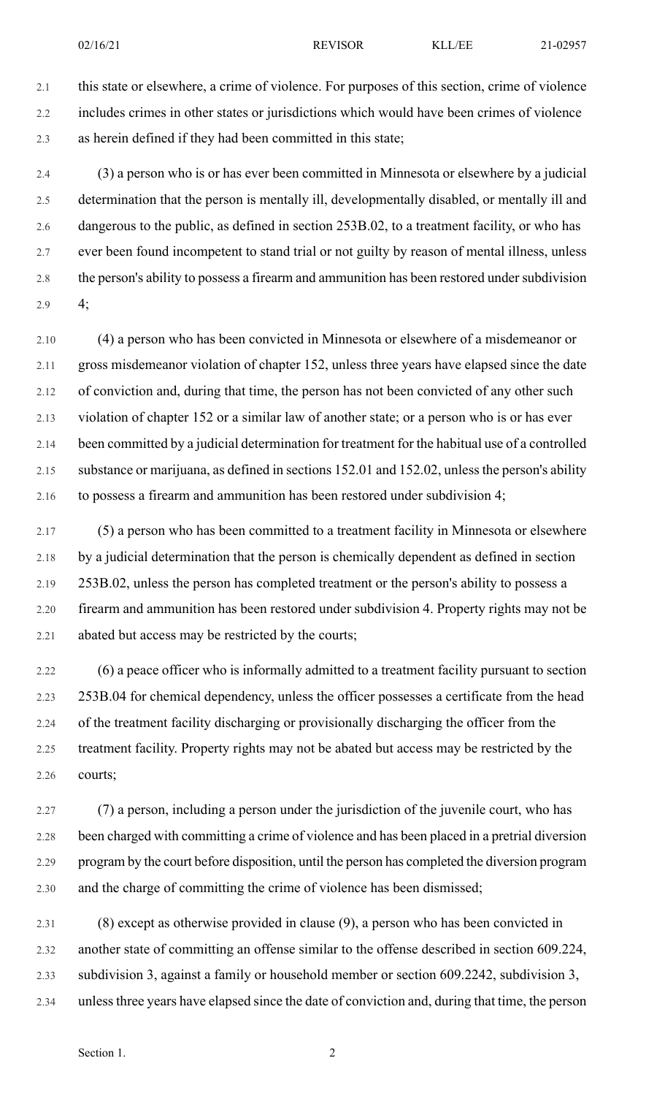2.1 this state or elsewhere, a crime of violence. For purposes of this section, crime of violence 2.2 includes crimes in other states or jurisdictions which would have been crimes of violence 2.3 as herein defined if they had been committed in this state;

2.4 (3) a person who is or has ever been committed in Minnesota or elsewhere by a judicial 2.5 determination that the person is mentally ill, developmentally disabled, or mentally ill and 2.6 dangerous to the public, as defined in section 253B.02, to a treatment facility, or who has 2.7 ever been found incompetent to stand trial or not guilty by reason of mental illness, unless 2.8 the person's ability to possess a firearm and ammunition has been restored under subdivision 2.9 4;

2.10 (4) a person who has been convicted in Minnesota or elsewhere of a misdemeanor or 2.11 gross misdemeanor violation of chapter 152, unless three years have elapsed since the date 2.12 of conviction and, during that time, the person has not been convicted of any other such 2.13 violation of chapter 152 or a similar law of another state; or a person who is or has ever 2.14 been committed by a judicial determination for treatment for the habitual use of a controlled 2.15 substance or marijuana, as defined in sections 152.01 and 152.02, unlessthe person's ability 2.16 to possess a firearm and ammunition has been restored under subdivision 4;

2.17 (5) a person who has been committed to a treatment facility in Minnesota or elsewhere 2.18 by a judicial determination that the person is chemically dependent as defined in section 2.19 253B.02, unless the person has completed treatment or the person's ability to possess a 2.20 firearm and ammunition has been restored under subdivision 4. Property rights may not be 2.21 abated but access may be restricted by the courts;

2.22 (6) a peace officer who is informally admitted to a treatment facility pursuant to section 2.23 253B.04 for chemical dependency, unless the officer possesses a certificate from the head 2.24 of the treatment facility discharging or provisionally discharging the officer from the 2.25 treatment facility. Property rights may not be abated but access may be restricted by the 2.26 courts;

2.27 (7) a person, including a person under the jurisdiction of the juvenile court, who has 2.28 been charged with committing a crime of violence and has been placed in a pretrial diversion 2.29 program by the court before disposition, until the person has completed the diversion program 2.30 and the charge of committing the crime of violence has been dismissed;

2.31 (8) except as otherwise provided in clause (9), a person who has been convicted in 2.32 another state of committing an offense similar to the offense described in section 609.224, 2.33 subdivision 3, against a family or household member or section 609.2242, subdivision 3, 2.34 unlessthree years have elapsed since the date of conviction and, during that time, the person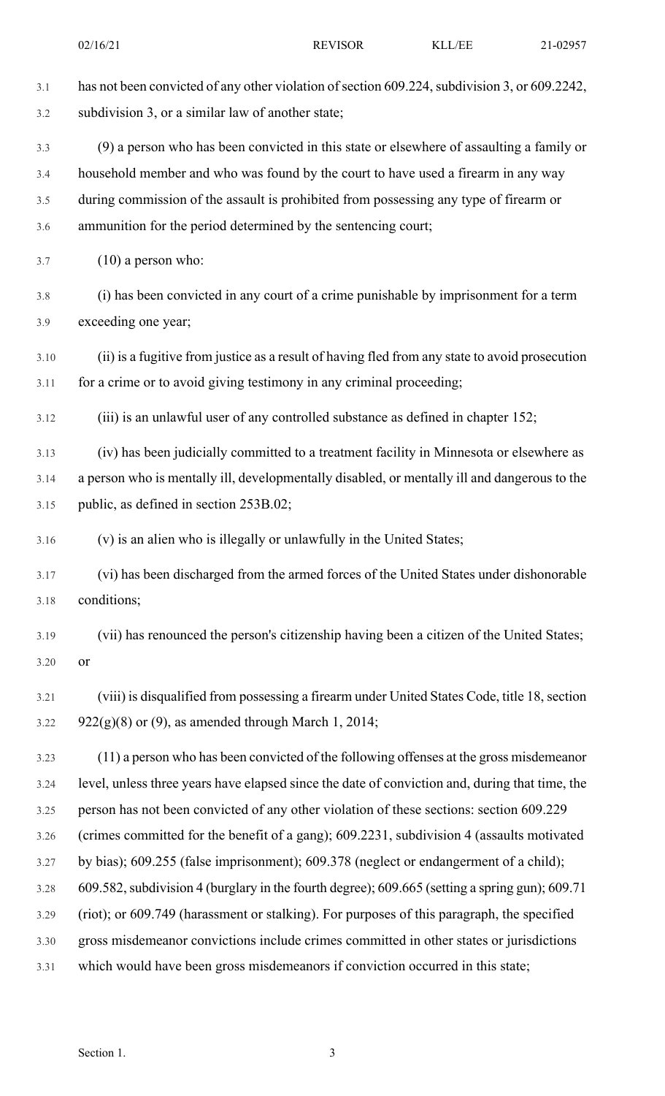3.1 has not been convicted of any other violation of section 609.224, subdivision 3, or 609.2242, 3.2 subdivision 3, or a similar law of another state; 3.3 (9) a person who has been convicted in this state or elsewhere of assaulting a family or 3.4 household member and who was found by the court to have used a firearm in any way 3.5 during commission of the assault is prohibited from possessing any type of firearm or 3.6 ammunition for the period determined by the sentencing court;  $3.7 \qquad (10)$  a person who: 3.8 (i) has been convicted in any court of a crime punishable by imprisonment for a term 3.9 exceeding one year; 3.10 (ii) is a fugitive from justice as a result of having fled from any state to avoid prosecution 3.11 for a crime or to avoid giving testimony in any criminal proceeding; 3.12 (iii) is an unlawful user of any controlled substance as defined in chapter 152; 3.13 (iv) has been judicially committed to a treatment facility in Minnesota or elsewhere as 3.14 a person who is mentally ill, developmentally disabled, or mentally ill and dangerous to the 3.15 public, as defined in section 253B.02; 3.16 (v) is an alien who is illegally or unlawfully in the United States; 3.17 (vi) has been discharged from the armed forces of the United States under dishonorable 3.18 conditions; 3.19 (vii) has renounced the person's citizenship having been a citizen of the United States; 3.20 or 3.21 (viii) is disqualified from possessing a firearm under United States Code, title 18,section 3.22 922 $(g)(8)$  or (9), as amended through March 1, 2014; 3.23 (11) a person who has been convicted of the following offenses at the gross misdemeanor 3.24 level, unless three years have elapsed since the date of conviction and, during that time, the 3.25 person has not been convicted of any other violation of these sections: section 609.229 3.26 (crimes committed for the benefit of a gang); 609.2231, subdivision 4 (assaults motivated 3.27 by bias); 609.255 (false imprisonment); 609.378 (neglect or endangerment of a child); 3.28 609.582, subdivision 4 (burglary in the fourth degree); 609.665 (setting a spring gun); 609.71 3.29 (riot); or 609.749 (harassment or stalking). For purposes of this paragraph, the specified 3.30 gross misdemeanor convictions include crimes committed in other states or jurisdictions 3.31 which would have been gross misdemeanors if conviction occurred in this state; 02/16/21 REVISOR KLL/EE 21-02957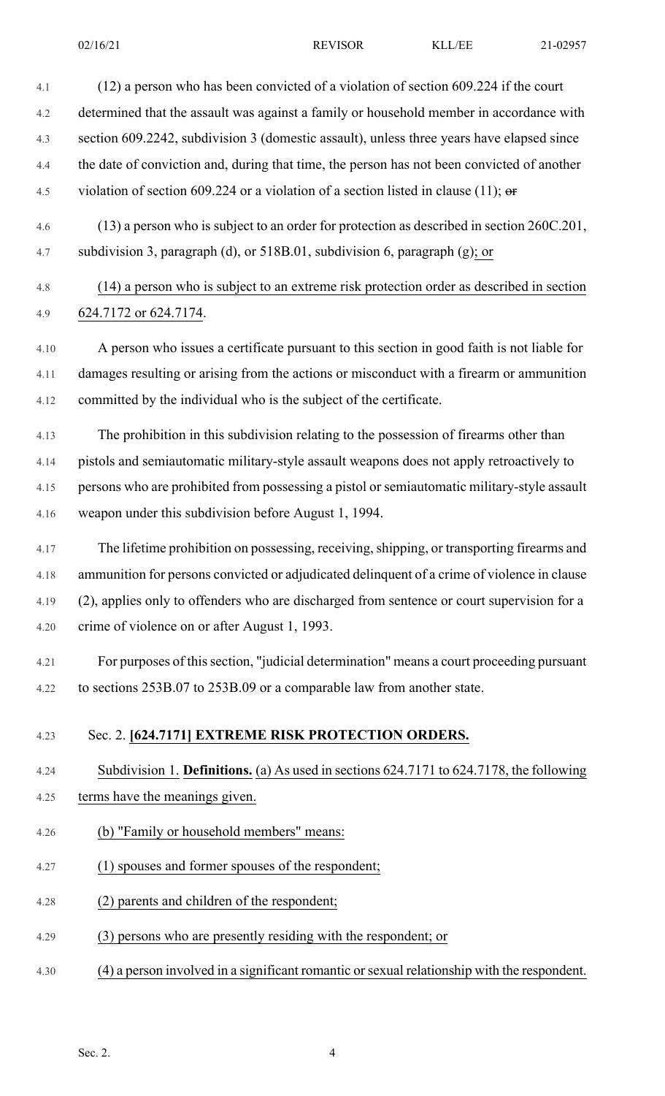02/16/21 REVISOR KLL/EE 21-02957



4.30 (4) a person involved in a significant romantic or sexual relationship with the respondent.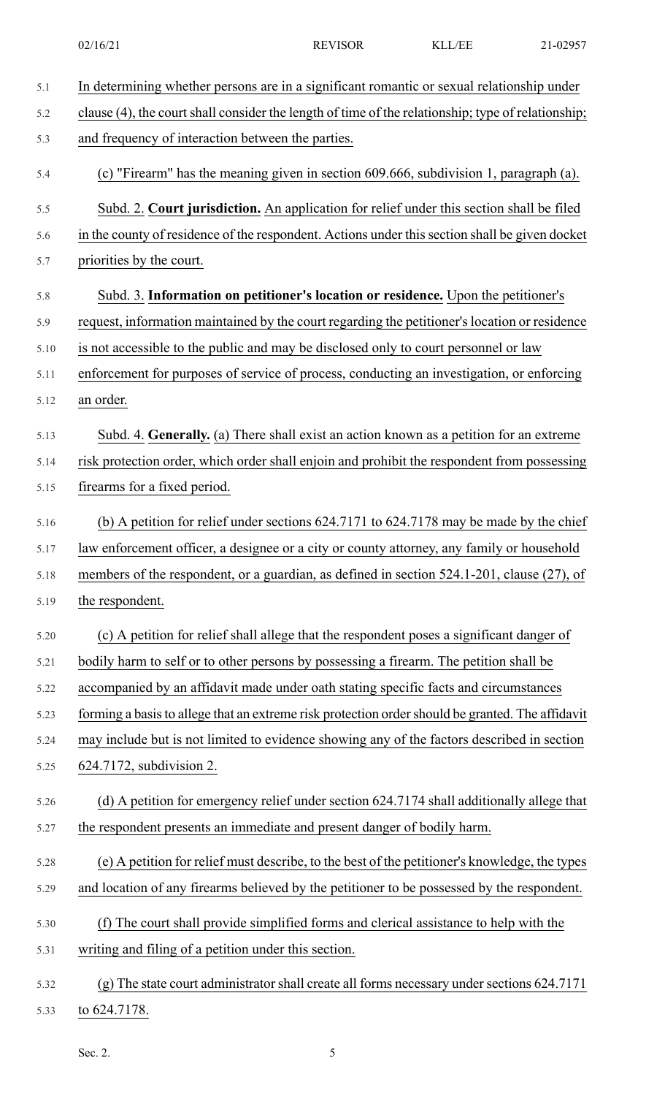| 5.1  | In determining whether persons are in a significant romantic or sexual relationship under          |
|------|----------------------------------------------------------------------------------------------------|
| 5.2  | clause (4), the court shall consider the length of time of the relationship; type of relationship; |
| 5.3  | and frequency of interaction between the parties.                                                  |
| 5.4  | (c) "Firearm" has the meaning given in section 609.666, subdivision 1, paragraph (a).              |
| 5.5  | Subd. 2. Court jurisdiction. An application for relief under this section shall be filed           |
| 5.6  | in the county of residence of the respondent. Actions under this section shall be given docket     |
| 5.7  | priorities by the court.                                                                           |
| 5.8  | Subd. 3. Information on petitioner's location or residence. Upon the petitioner's                  |
| 5.9  | request, information maintained by the court regarding the petitioner's location or residence      |
| 5.10 | is not accessible to the public and may be disclosed only to court personnel or law                |
| 5.11 | enforcement for purposes of service of process, conducting an investigation, or enforcing          |
| 5.12 | an order.                                                                                          |
| 5.13 | Subd. 4. Generally. (a) There shall exist an action known as a petition for an extreme             |
| 5.14 | risk protection order, which order shall enjoin and prohibit the respondent from possessing        |
| 5.15 | firearms for a fixed period.                                                                       |
| 5.16 | (b) A petition for relief under sections $624.7171$ to $624.7178$ may be made by the chief         |
| 5.17 | law enforcement officer, a designee or a city or county attorney, any family or household          |
| 5.18 | members of the respondent, or a guardian, as defined in section 524.1-201, clause (27), of         |
| 5.19 | the respondent.                                                                                    |
| 5.20 | (c) A petition for relief shall allege that the respondent poses a significant danger of           |
| 5.21 | bodily harm to self or to other persons by possessing a firearm. The petition shall be             |
| 5.22 | accompanied by an affidavit made under oath stating specific facts and circumstances               |
| 5.23 | forming a basis to allege that an extreme risk protection order should be granted. The affidavit   |
| 5.24 | may include but is not limited to evidence showing any of the factors described in section         |
| 5.25 | 624.7172, subdivision 2.                                                                           |
| 5.26 | (d) A petition for emergency relief under section 624.7174 shall additionally allege that          |
| 5.27 | the respondent presents an immediate and present danger of bodily harm.                            |
| 5.28 | (e) A petition for relief must describe, to the best of the petitioner's knowledge, the types      |
| 5.29 | and location of any firearms believed by the petitioner to be possessed by the respondent.         |
| 5.30 | (f) The court shall provide simplified forms and clerical assistance to help with the              |
| 5.31 | writing and filing of a petition under this section.                                               |
| 5.32 | (g) The state court administrator shall create all forms necessary under sections 624.7171         |
| 5.33 | to 624.7178.                                                                                       |

Sec. 2. 5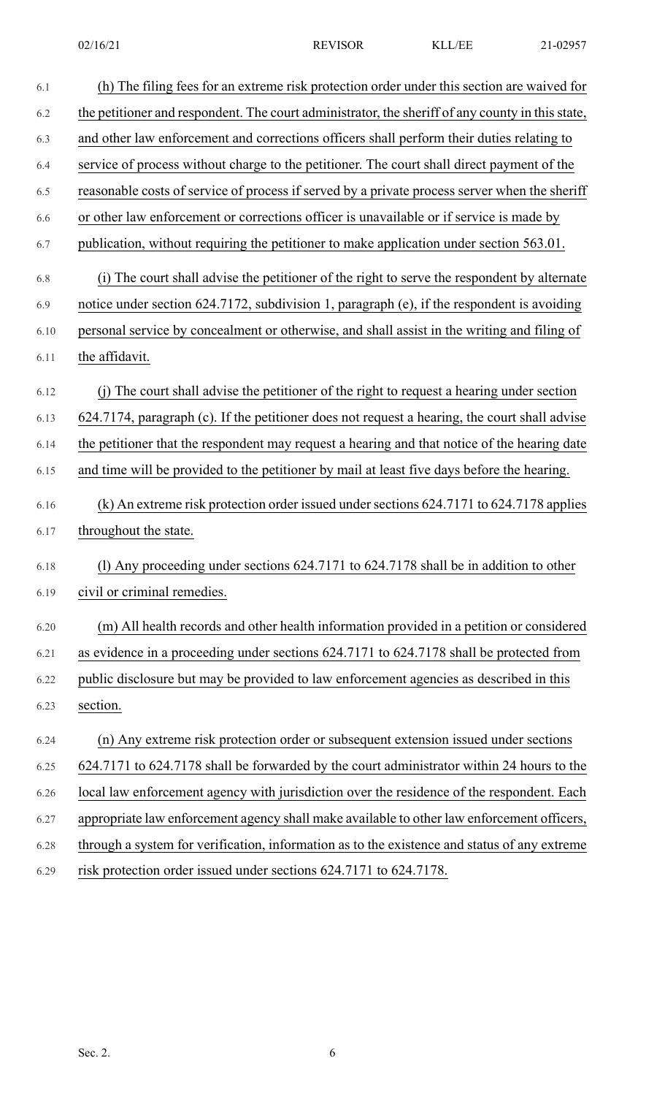| 6.1  | (h) The filing fees for an extreme risk protection order under this section are waived for       |
|------|--------------------------------------------------------------------------------------------------|
| 6.2  | the petitioner and respondent. The court administrator, the sheriff of any county in this state, |
| 6.3  | and other law enforcement and corrections officers shall perform their duties relating to        |
| 6.4  | service of process without charge to the petitioner. The court shall direct payment of the       |
| 6.5  | reasonable costs of service of process if served by a private process server when the sheriff    |
| 6.6  | or other law enforcement or corrections officer is unavailable or if service is made by          |
| 6.7  | publication, without requiring the petitioner to make application under section 563.01.          |
| 6.8  | (i) The court shall advise the petitioner of the right to serve the respondent by alternate      |
| 6.9  | notice under section 624.7172, subdivision 1, paragraph (e), if the respondent is avoiding       |
| 6.10 | personal service by concealment or otherwise, and shall assist in the writing and filing of      |
| 6.11 | the affidavit.                                                                                   |
| 6.12 | (j) The court shall advise the petitioner of the right to request a hearing under section        |
| 6.13 | 624.7174, paragraph (c). If the petitioner does not request a hearing, the court shall advise    |
| 6.14 | the petitioner that the respondent may request a hearing and that notice of the hearing date     |
| 6.15 | and time will be provided to the petitioner by mail at least five days before the hearing.       |
| 6.16 | (k) An extreme risk protection order issued under sections 624.7171 to 624.7178 applies          |
| 6.17 | throughout the state.                                                                            |
| 6.18 | (1) Any proceeding under sections $624.7171$ to $624.7178$ shall be in addition to other         |
| 6.19 | civil or criminal remedies.                                                                      |
| 6.20 | (m) All health records and other health information provided in a petition or considered         |
| 6.21 | as evidence in a proceeding under sections 624.7171 to 624.7178 shall be protected from          |
| 6.22 | public disclosure but may be provided to law enforcement agencies as described in this           |
| 6.23 | section.                                                                                         |
| 6.24 | (n) Any extreme risk protection order or subsequent extension issued under sections              |
| 6.25 | 624.7171 to 624.7178 shall be forwarded by the court administrator within 24 hours to the        |
| 6.26 | local law enforcement agency with jurisdiction over the residence of the respondent. Each        |
| 6.27 | appropriate law enforcement agency shall make available to other law enforcement officers,       |
| 6.28 | through a system for verification, information as to the existence and status of any extreme     |
| 6.29 | risk protection order issued under sections 624.7171 to 624.7178.                                |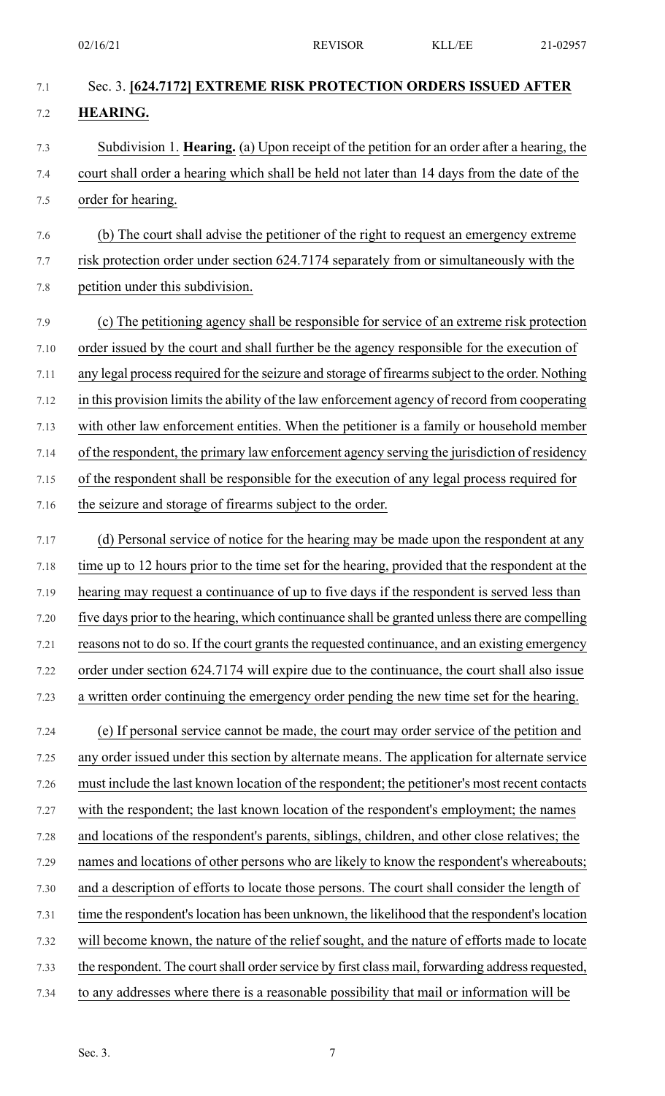| 7.1  | Sec. 3. [624.7172] EXTREME RISK PROTECTION ORDERS ISSUED AFTER                                   |
|------|--------------------------------------------------------------------------------------------------|
| 7.2  | <b>HEARING.</b>                                                                                  |
| 7.3  | Subdivision 1. Hearing. (a) Upon receipt of the petition for an order after a hearing, the       |
| 7.4  | court shall order a hearing which shall be held not later than 14 days from the date of the      |
| 7.5  | order for hearing.                                                                               |
| 7.6  | (b) The court shall advise the petitioner of the right to request an emergency extreme           |
| 7.7  | risk protection order under section 624.7174 separately from or simultaneously with the          |
| 7.8  | petition under this subdivision.                                                                 |
| 7.9  | (c) The petitioning agency shall be responsible for service of an extreme risk protection        |
| 7.10 | order issued by the court and shall further be the agency responsible for the execution of       |
| 7.11 | any legal process required for the seizure and storage of firearms subject to the order. Nothing |
| 7.12 | in this provision limits the ability of the law enforcement agency of record from cooperating    |
| 7.13 | with other law enforcement entities. When the petitioner is a family or household member         |
| 7.14 | of the respondent, the primary law enforcement agency serving the jurisdiction of residency      |
| 7.15 | of the respondent shall be responsible for the execution of any legal process required for       |
| 7.16 | the seizure and storage of firearms subject to the order.                                        |
| 7.17 | (d) Personal service of notice for the hearing may be made upon the respondent at any            |
| 7.18 | time up to 12 hours prior to the time set for the hearing, provided that the respondent at the   |
| 7.19 | hearing may request a continuance of up to five days if the respondent is served less than       |
| 7.20 | five days prior to the hearing, which continuance shall be granted unless there are compelling   |
| 7.21 | reasons not to do so. If the court grants the requested continuance, and an existing emergency   |
| 7.22 | order under section 624.7174 will expire due to the continuance, the court shall also issue      |
| 7.23 | a written order continuing the emergency order pending the new time set for the hearing.         |
| 7.24 | (e) If personal service cannot be made, the court may order service of the petition and          |
| 7.25 | any order issued under this section by alternate means. The application for alternate service    |
| 7.26 | must include the last known location of the respondent; the petitioner's most recent contacts    |
| 7.27 | with the respondent; the last known location of the respondent's employment; the names           |
| 7.28 | and locations of the respondent's parents, siblings, children, and other close relatives; the    |
| 7.29 | names and locations of other persons who are likely to know the respondent's whereabouts;        |
| 7.30 | and a description of efforts to locate those persons. The court shall consider the length of     |
| 7.31 | time the respondent's location has been unknown, the likelihood that the respondent's location   |
| 7.32 | will become known, the nature of the relief sought, and the nature of efforts made to locate     |
| 7.33 | the respondent. The court shall order service by first class mail, forwarding address requested, |
| 7.34 | to any addresses where there is a reasonable possibility that mail or information will be        |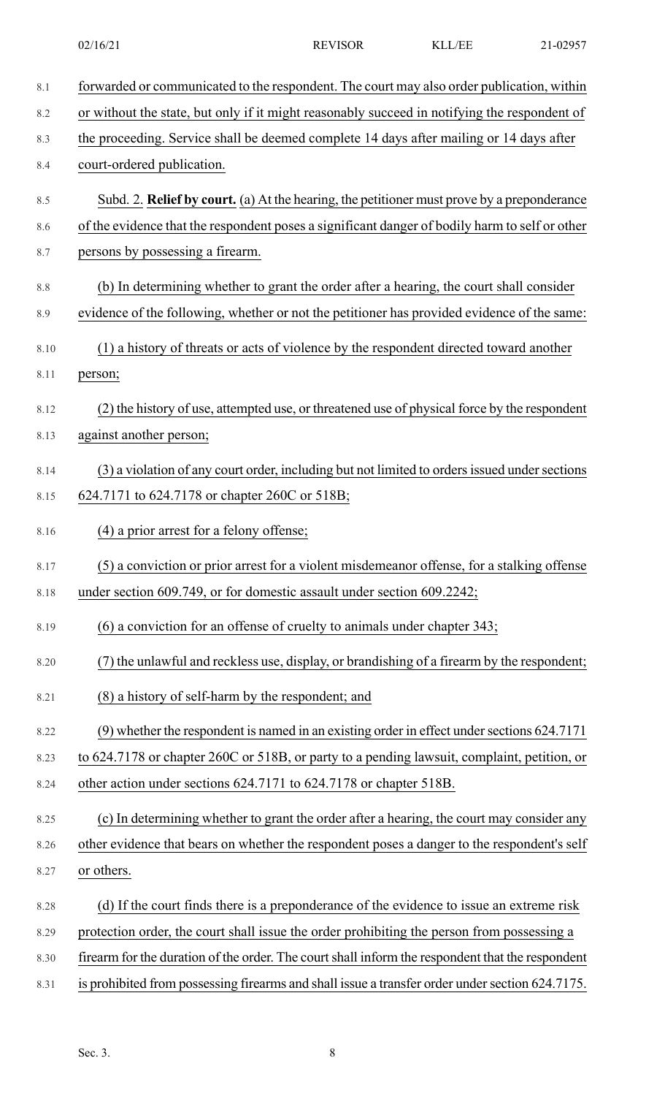| 8.1  | forwarded or communicated to the respondent. The court may also order publication, within        |
|------|--------------------------------------------------------------------------------------------------|
| 8.2  | or without the state, but only if it might reasonably succeed in notifying the respondent of     |
| 8.3  | the proceeding. Service shall be deemed complete 14 days after mailing or 14 days after          |
| 8.4  | court-ordered publication.                                                                       |
| 8.5  | Subd. 2. Relief by court. (a) At the hearing, the petitioner must prove by a preponderance       |
| 8.6  | of the evidence that the respondent poses a significant danger of bodily harm to self or other   |
| 8.7  | persons by possessing a firearm.                                                                 |
| 8.8  | (b) In determining whether to grant the order after a hearing, the court shall consider          |
| 8.9  | evidence of the following, whether or not the petitioner has provided evidence of the same:      |
| 8.10 | (1) a history of threats or acts of violence by the respondent directed toward another           |
| 8.11 | person;                                                                                          |
| 8.12 | (2) the history of use, attempted use, or threatened use of physical force by the respondent     |
| 8.13 | against another person;                                                                          |
| 8.14 | (3) a violation of any court order, including but not limited to orders issued under sections    |
| 8.15 | 624.7171 to 624.7178 or chapter 260C or 518B;                                                    |
| 8.16 | (4) a prior arrest for a felony offense;                                                         |
| 8.17 | (5) a conviction or prior arrest for a violent misdemeanor offense, for a stalking offense       |
| 8.18 | under section 609.749, or for domestic assault under section 609.2242;                           |
| 8.19 | (6) a conviction for an offense of cruelty to animals under chapter 343;                         |
| 8.20 | (7) the unlawful and reckless use, display, or brandishing of a firearm by the respondent;       |
| 8.21 | (8) a history of self-harm by the respondent; and                                                |
| 8.22 | (9) whether the respondent is named in an existing order in effect under sections 624.7171       |
| 8.23 | to 624.7178 or chapter 260C or 518B, or party to a pending lawsuit, complaint, petition, or      |
| 8.24 | other action under sections 624.7171 to 624.7178 or chapter 518B.                                |
| 8.25 | (c) In determining whether to grant the order after a hearing, the court may consider any        |
| 8.26 | other evidence that bears on whether the respondent poses a danger to the respondent's self      |
| 8.27 | or others.                                                                                       |
| 8.28 | (d) If the court finds there is a preponderance of the evidence to issue an extreme risk         |
| 8.29 | protection order, the court shall issue the order prohibiting the person from possessing a       |
| 8.30 | firearm for the duration of the order. The court shall inform the respondent that the respondent |
| 8.31 | is prohibited from possessing firearms and shall issue a transfer order under section 624.7175.  |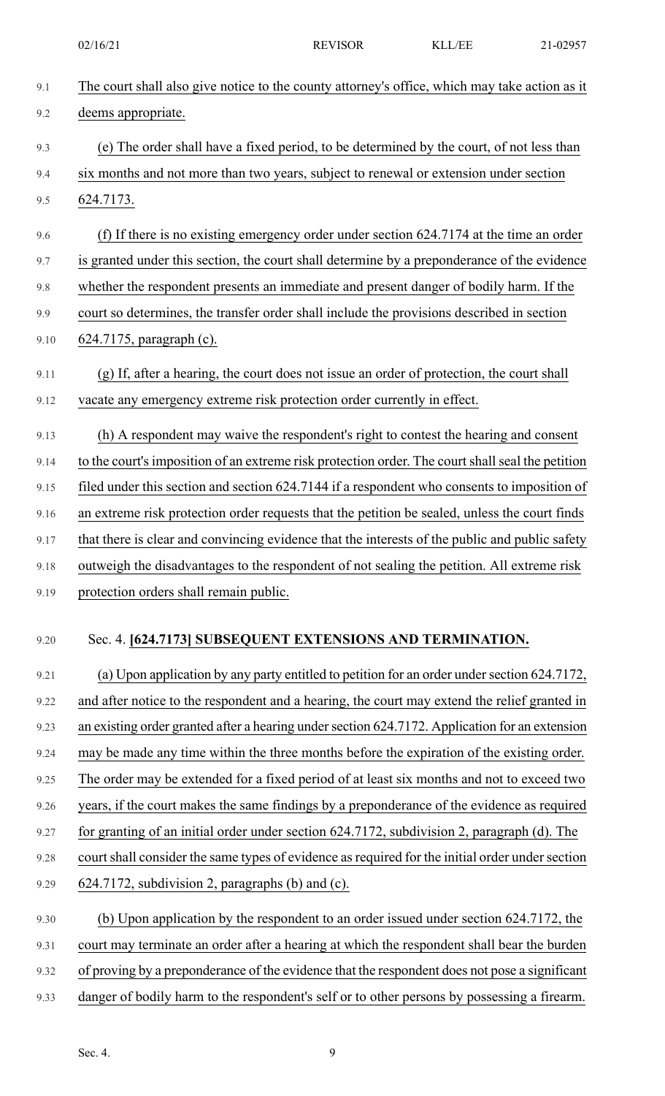02/16/21 REVISOR KLL/EE 21-02957

| 9.1  | The court shall also give notice to the county attorney's office, which may take action as it    |
|------|--------------------------------------------------------------------------------------------------|
| 9.2  | deems appropriate.                                                                               |
| 9.3  | (e) The order shall have a fixed period, to be determined by the court, of not less than         |
| 9.4  | six months and not more than two years, subject to renewal or extension under section            |
| 9.5  | 624.7173.                                                                                        |
| 9.6  | (f) If there is no existing emergency order under section 624.7174 at the time an order          |
| 9.7  | is granted under this section, the court shall determine by a preponderance of the evidence      |
| 9.8  | whether the respondent presents an immediate and present danger of bodily harm. If the           |
| 9.9  | court so determines, the transfer order shall include the provisions described in section        |
| 9.10 | 624.7175, paragraph (c).                                                                         |
| 9.11 | (g) If, after a hearing, the court does not issue an order of protection, the court shall        |
| 9.12 | vacate any emergency extreme risk protection order currently in effect.                          |
| 9.13 | (h) A respondent may waive the respondent's right to contest the hearing and consent             |
| 9.14 | to the court's imposition of an extreme risk protection order. The court shall seal the petition |
| 9.15 | filed under this section and section 624.7144 if a respondent who consents to imposition of      |
| 9.16 | an extreme risk protection order requests that the petition be sealed, unless the court finds    |
| 9.17 | that there is clear and convincing evidence that the interests of the public and public safety   |
| 9.18 | outweigh the disadvantages to the respondent of not sealing the petition. All extreme risk       |
| 9.19 | protection orders shall remain public.                                                           |
| 9.20 | Sec. 4. [624.7173] SUBSEQUENT EXTENSIONS AND TERMINATION.                                        |
| 9.21 | (a) Upon application by any party entitled to petition for an order under section 624.7172,      |
| 9.22 | and after notice to the respondent and a hearing, the court may extend the relief granted in     |
| 9.23 | an existing order granted after a hearing under section 624.7172. Application for an extension   |
| 9.24 | may be made any time within the three months before the expiration of the existing order.        |
| 9.25 | The order may be extended for a fixed period of at least six months and not to exceed two        |
| 9.26 | years, if the court makes the same findings by a preponderance of the evidence as required       |
| 9.27 | for granting of an initial order under section 624.7172, subdivision 2, paragraph (d). The       |
| 9.28 | court shall consider the same types of evidence as required for the initial order under section  |
| 9.29 | 624.7172, subdivision 2, paragraphs (b) and (c).                                                 |
| 9.30 | (b) Upon application by the respondent to an order issued under section 624.7172, the            |
| 9.31 | court may terminate an order after a hearing at which the respondent shall bear the burden       |
| 9.32 | of proving by a preponderance of the evidence that the respondent does not pose a significant    |
| 9.33 | danger of bodily harm to the respondent's self or to other persons by possessing a firearm.      |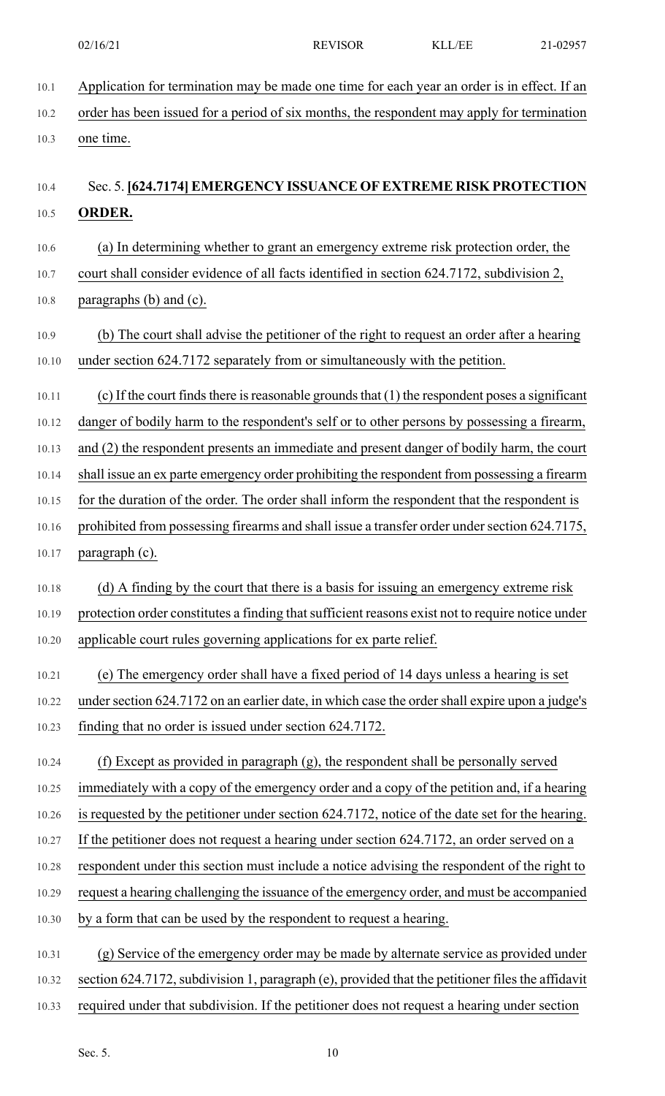| $10.1\,$ | Application for termination may be made one time for each year an order is in effect. If an      |
|----------|--------------------------------------------------------------------------------------------------|
| 10.2     | order has been issued for a period of six months, the respondent may apply for termination       |
| 10.3     | one time.                                                                                        |
| 10.4     | Sec. 5. [624,7174] EMERGENCY ISSUANCE OF EXTREME RISK PROTECTION                                 |
| 10.5     | <b>ORDER.</b>                                                                                    |
| 10.6     | (a) In determining whether to grant an emergency extreme risk protection order, the              |
| 10.7     | court shall consider evidence of all facts identified in section 624.7172, subdivision 2,        |
| $10.8\,$ | paragraphs (b) and (c).                                                                          |
| 10.9     | (b) The court shall advise the petitioner of the right to request an order after a hearing       |
| 10.10    | under section 624.7172 separately from or simultaneously with the petition.                      |
| 10.11    | (c) If the court finds there is reasonable grounds that (1) the respondent poses a significant   |
| 10.12    | danger of bodily harm to the respondent's self or to other persons by possessing a firearm,      |
| 10.13    | and (2) the respondent presents an immediate and present danger of bodily harm, the court        |
| 10.14    | shall issue an ex parte emergency order prohibiting the respondent from possessing a firearm     |
| 10.15    | for the duration of the order. The order shall inform the respondent that the respondent is      |
| 10.16    | prohibited from possessing firearms and shall issue a transfer order under section 624.7175,     |
| 10.17    | paragraph (c).                                                                                   |
| 10.18    | (d) A finding by the court that there is a basis for issuing an emergency extreme risk           |
| 10.19    | protection order constitutes a finding that sufficient reasons exist not to require notice under |
| 10.20    | applicable court rules governing applications for ex parte relief.                               |
| 10.21    | (e) The emergency order shall have a fixed period of 14 days unless a hearing is set             |
| 10.22    | under section 624.7172 on an earlier date, in which case the order shall expire upon a judge's   |
| 10.23    | finding that no order is issued under section 624.7172.                                          |
| 10.24    | (f) Except as provided in paragraph (g), the respondent shall be personally served               |
| 10.25    | immediately with a copy of the emergency order and a copy of the petition and, if a hearing      |
| 10.26    | is requested by the petitioner under section 624.7172, notice of the date set for the hearing.   |
| 10.27    | If the petitioner does not request a hearing under section 624.7172, an order served on a        |
| 10.28    | respondent under this section must include a notice advising the respondent of the right to      |
| 10.29    | request a hearing challenging the issuance of the emergency order, and must be accompanied       |
| 10.30    | by a form that can be used by the respondent to request a hearing.                               |
| 10.31    | (g) Service of the emergency order may be made by alternate service as provided under            |
| 10.32    | section 624.7172, subdivision 1, paragraph (e), provided that the petitioner files the affidavit |

10.33 required under that subdivision. If the petitioner does not request a hearing under section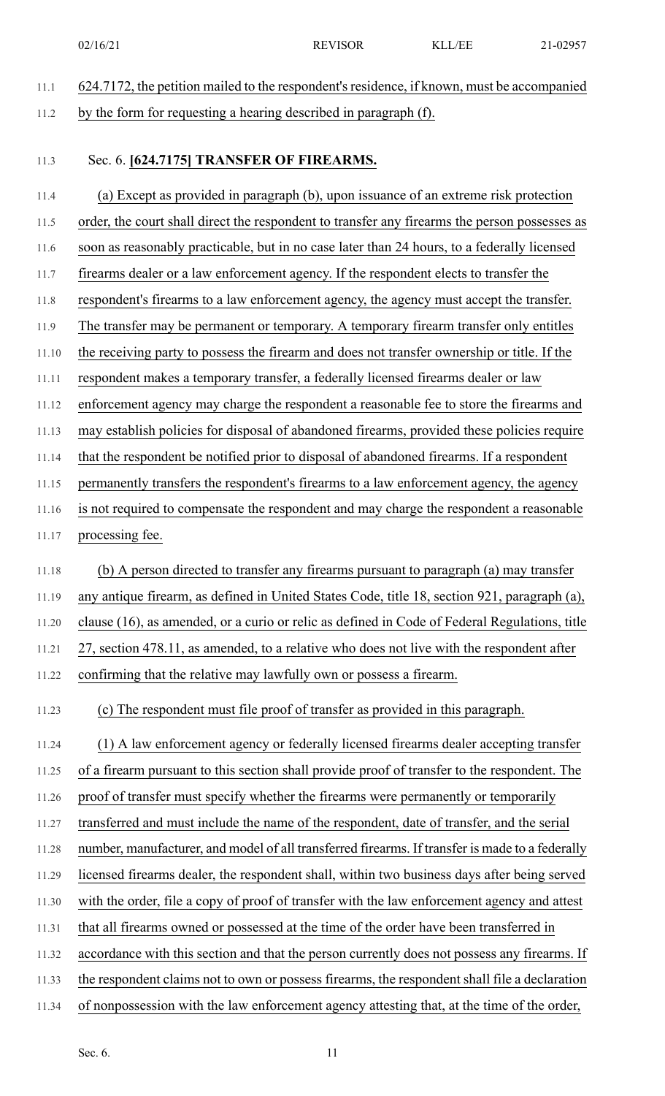- 11.1 624.7172, the petition mailed to the respondent'sresidence, if known, must be accompanied 11.2 by the form for requesting a hearing described in paragraph (f).
- 

#### 11.3 Sec. 6. **[624.7175] TRANSFER OF FIREARMS.**

- 11.4 (a) Except as provided in paragraph (b), upon issuance of an extreme risk protection 11.5 order, the court shall direct the respondent to transfer any firearms the person possesses as 11.6 soon as reasonably practicable, but in no case later than 24 hours, to a federally licensed 11.7 firearms dealer or a law enforcement agency. If the respondent elects to transfer the 11.8 respondent's firearms to a law enforcement agency, the agency must accept the transfer. 11.9 The transfer may be permanent or temporary. A temporary firearm transfer only entitles 11.10 the receiving party to possess the firearm and does not transfer ownership or title. If the 11.11 respondent makes a temporary transfer, a federally licensed firearms dealer or law 11.12 enforcement agency may charge the respondent a reasonable fee to store the firearms and 11.13 may establish policies for disposal of abandoned firearms, provided these policies require 11.14 that the respondent be notified prior to disposal of abandoned firearms. If a respondent 11.15 permanently transfers the respondent's firearms to a law enforcement agency, the agency 11.16 is not required to compensate the respondent and may charge the respondent a reasonable 11.17 processing fee. 11.18 (b) A person directed to transfer any firearms pursuant to paragraph (a) may transfer 11.19 any antique firearm, as defined in United States Code, title 18, section 921, paragraph (a), 11.20 clause (16), as amended, or a curio or relic as defined in Code of Federal Regulations, title 11.21 27, section 478.11, as amended, to a relative who does not live with the respondent after 11.22 confirming that the relative may lawfully own or possess a firearm. 11.23 (c) The respondent must file proof of transfer as provided in this paragraph. 11.24 (1) A law enforcement agency or federally licensed firearms dealer accepting transfer 11.25 of a firearm pursuant to this section shall provide proof of transfer to the respondent. The 11.26 proof of transfer must specify whether the firearms were permanently or temporarily 11.27 transferred and must include the name of the respondent, date of transfer, and the serial 11.28 number, manufacturer, and model of all transferred firearms. If transfer is made to a federally 11.29 licensed firearms dealer, the respondent shall, within two business days after being served 11.30 with the order, file a copy of proof of transfer with the law enforcement agency and attest
- 11.31 that all firearms owned or possessed at the time of the order have been transferred in
- 11.32 accordance with this section and that the person currently does not possess any firearms. If
- 11.33 the respondent claims not to own or possess firearms, the respondent shall file a declaration
- 11.34 of nonpossession with the law enforcement agency attesting that, at the time of the order,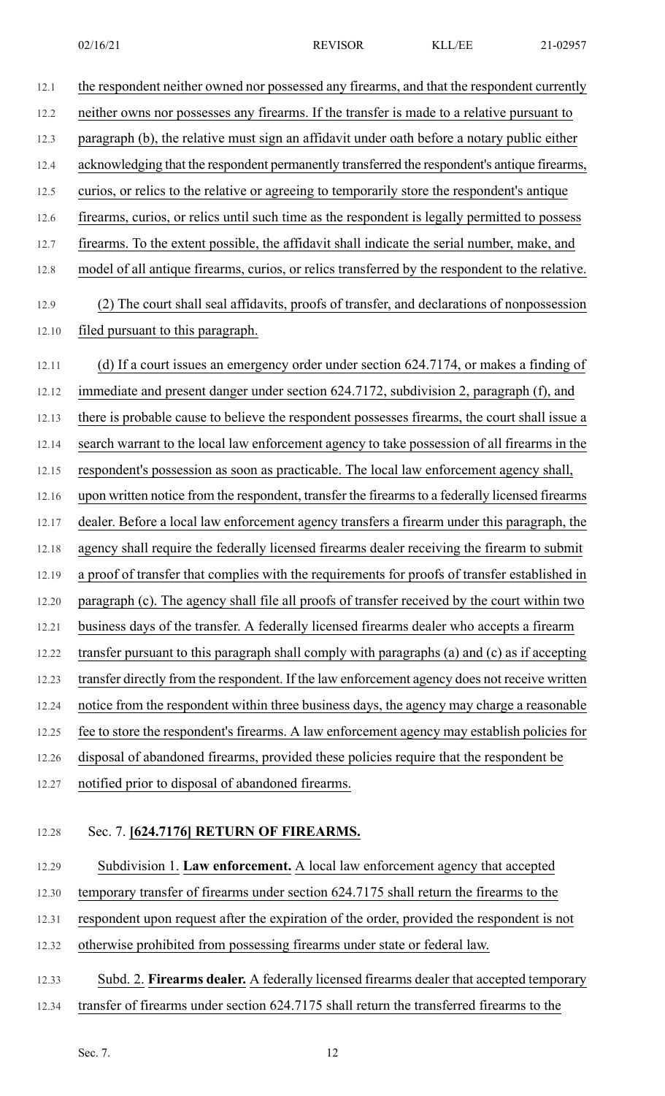12.1 the respondent neither owned nor possessed any firearms, and that the respondent currently 12.2 neither owns nor possesses any firearms. If the transfer is made to a relative pursuant to 12.3 paragraph (b), the relative must sign an affidavit under oath before a notary public either 12.4 acknowledging that the respondent permanently transferred the respondent's antique firearms, 12.5 curios, or relics to the relative or agreeing to temporarily store the respondent's antique 12.6 firearms, curios, or relics until such time as the respondent is legally permitted to possess 12.7 firearms. To the extent possible, the affidavit shall indicate the serial number, make, and 12.8 model of all antique firearms, curios, or relics transferred by the respondent to the relative. 12.9 (2) The court shall seal affidavits, proofs of transfer, and declarations of nonpossession 12.10 filed pursuant to this paragraph. 12.11 (d) If a court issues an emergency order under section 624.7174, or makes a finding of 12.12 immediate and present danger under section 624.7172, subdivision 2, paragraph (f), and 12.13 there is probable cause to believe the respondent possesses firearms, the court shall issue a 12.14 search warrant to the local law enforcement agency to take possession of all firearms in the 12.15 respondent's possession as soon as practicable. The local law enforcement agency shall, 12.16 upon written notice from the respondent, transfer the firearms to a federally licensed firearms 12.17 dealer. Before a local law enforcement agency transfers a firearm under this paragraph, the 12.18 agency shall require the federally licensed firearms dealer receiving the firearm to submit 12.19 a proof of transfer that complies with the requirements for proofs of transfer established in 12.20 paragraph (c). The agency shall file all proofs of transfer received by the court within two 12.21 business days of the transfer. A federally licensed firearms dealer who accepts a firearm 12.22 transfer pursuant to this paragraph shall comply with paragraphs (a) and (c) as if accepting 12.23 transfer directly from the respondent. If the law enforcement agency does not receive written 12.24 notice from the respondent within three business days, the agency may charge a reasonable 12.25 fee to store the respondent's firearms. A law enforcement agency may establish policies for 12.26 disposal of abandoned firearms, provided these policies require that the respondent be 12.27 notified prior to disposal of abandoned firearms.

#### 12.28 Sec. 7. **[624.7176] RETURN OF FIREARMS.**

12.29 Subdivision 1. **Law enforcement.** A local law enforcement agency that accepted

12.30 temporary transfer of firearms under section 624.7175 shall return the firearms to the

12.31 respondent upon request after the expiration of the order, provided the respondent is not

12.32 otherwise prohibited from possessing firearms under state or federal law.

12.33 Subd. 2. **Firearms dealer.** A federally licensed firearms dealer that accepted temporary

12.34 transfer of firearms under section 624.7175 shall return the transferred firearms to the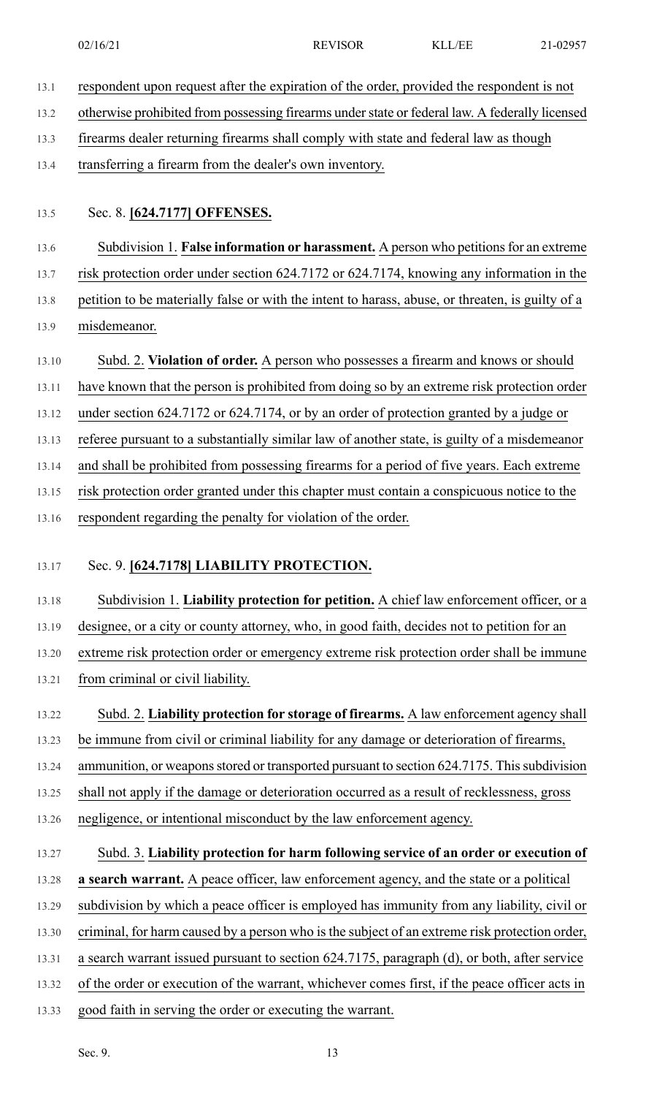- 13.1 respondent upon request after the expiration of the order, provided the respondent is not
- 13.2 otherwise prohibited from possessing firearms understate or federal law. A federally licensed
- 13.3 firearms dealer returning firearms shall comply with state and federal law as though
- 13.4 transferring a firearm from the dealer's own inventory.
- 13.5 Sec. 8. **[624.7177] OFFENSES.**
- 13.6 Subdivision 1. **False information or harassment.** A person who petitionsfor an extreme

13.7 risk protection order under section 624.7172 or 624.7174, knowing any information in the

13.8 petition to be materially false or with the intent to harass, abuse, or threaten, is guilty of a

- 13.9 misdemeanor.
- 13.10 Subd. 2. **Violation of order.** A person who possesses a firearm and knows or should
- 13.11 have known that the person is prohibited from doing so by an extreme risk protection order
- 13.12 under section 624.7172 or 624.7174, or by an order of protection granted by a judge or

13.13 referee pursuant to a substantially similar law of another state, is guilty of a misdemeanor

13.14 and shall be prohibited from possessing firearms for a period of five years. Each extreme

13.15 risk protection order granted under this chapter must contain a conspicuous notice to the

13.16 respondent regarding the penalty for violation of the order.

### 13.17 Sec. 9. **[624.7178] LIABILITY PROTECTION.**

13.18 Subdivision 1. **Liability protection for petition.** A chief law enforcement officer, or a 13.19 designee, or a city or county attorney, who, in good faith, decides not to petition for an 13.20 extreme risk protection order or emergency extreme risk protection order shall be immune 13.21 from criminal or civil liability.

13.22 Subd. 2. **Liability protection for storage of firearms.** A law enforcement agency shall 13.23 be immune from civil or criminal liability for any damage or deterioration of firearms,

13.24 ammunition, or weapons stored or transported pursuant to section 624.7175. This subdivision

13.25 shall not apply if the damage or deterioration occurred as a result of recklessness, gross

- 13.26 negligence, or intentional misconduct by the law enforcement agency.
- 13.27 Subd. 3. **Liability protection for harm following service of an order or execution of** 13.28 **a search warrant.** A peace officer, law enforcement agency, and the state or a political 13.29 subdivision by which a peace officer is employed has immunity from any liability, civil or 13.30 criminal, for harm caused by a person who isthe subject of an extreme risk protection order, 13.31 a search warrant issued pursuant to section 624.7175, paragraph (d), or both, after service 13.32 of the order or execution of the warrant, whichever comes first, if the peace officer acts in
- 13.33 good faith in serving the order or executing the warrant.